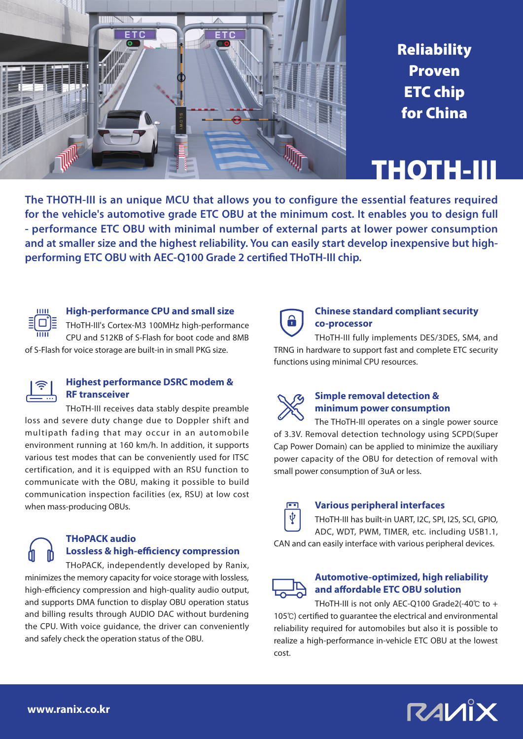

**Reliability** Proven ETC chip for China

## THOTH-III

**The THOTH-III is an unique MCU that allows you to configure the essential features required for the vehicle's automotive grade ETC OBU at the minimum cost. It enables you to design full - performance ETC OBU with minimal number of external parts at lower power consumption and at smaller size and the highest reliability. You can easily start develop inexpensive but highperforming ETC OBU with AEC-Q100 Grade 2 certified THoTH-III chip.**



#### **High-performance CPU and small size**

THoTH-III's Cortex-M3 100MHz high-performance CPU and 512KB of S-Flash for boot code and 8MB of S-Flash for voice storage are built-in in small PKG size.



#### **Highest performance DSRC modem & RF transceiver**

THoTH-III receives data stably despite preamble loss and severe duty change due to Doppler shift and multipath fading that may occur in an automobile environment running at 160 km/h. In addition, it supports various test modes that can be conveniently used for ITSC certification, and it is equipped with an RSU function to communicate with the OBU, making it possible to build communication inspection facilities (ex, RSU) at low cost when mass-producing OBUs.



THoPACK, independently developed by Ranix, minimizes the memory capacity for voice storage with lossless, high-efficiency compression and high-quality audio output, and supports DMA function to display OBU operation status and billing results through AUDIO DAC without burdening the CPU. With voice guidance, the driver can conveniently and safely check the operation status of the OBU.



#### **Chinese standard compliant security co-processor**

THoTH-III fully implements DES/3DES, SM4, and TRNG in hardware to support fast and complete ETC security functions using minimal CPU resources.



#### **Simple removal detection & minimum power consumption**

The THoTH-III operates on a single power source of 3.3V. Removal detection technology using SCPD(Super Cap Power Domain) can be applied to minimize the auxiliary power capacity of the OBU for detection of removal with small power consumption of 3uA or less.



#### **Various peripheral interfaces**

THoTH-III has built-in UART, I2C, SPI, I2S, SCI, GPIO, ADC, WDT, PWM, TIMER, etc. including USB1.1, CAN and can easily interface with various peripheral devices.

#### **Automotive-optimized, high reliability and affordable ETC OBU solution**

THoTH-III is not only AEC-Q100 Grade2(-40℃ to + 105℃) certified to guarantee the electrical and environmental reliability required for automobiles but also it is possible to realize a high-performance in-vehicle ETC OBU at the lowest cost.